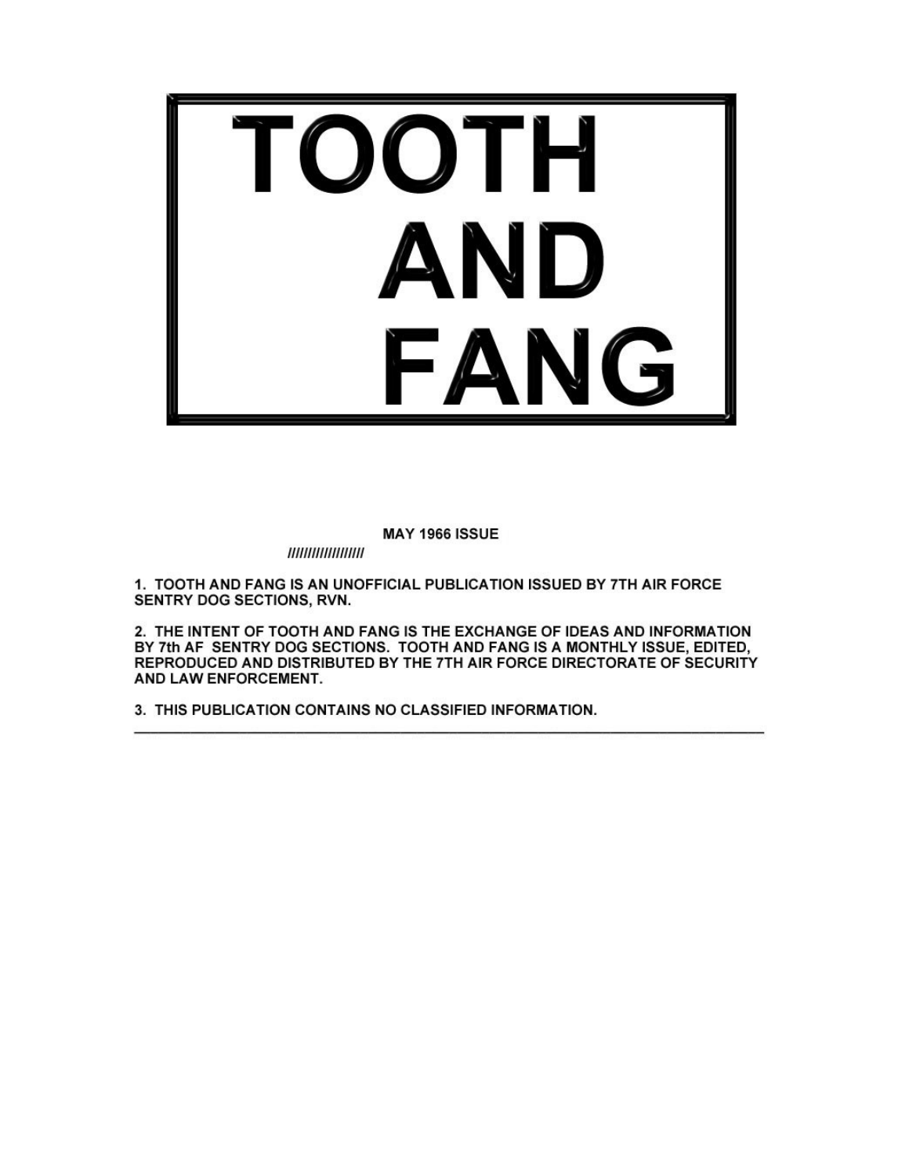

**MAY 1966 ISSUE** 

//////////////////

1. TOOTH AND FANG IS AN UNOFFICIAL PUBLICATION ISSUED BY 7TH AIR FORCE SENTRY DOG SECTIONS, RVN.

2. THE INTENT OF TOOTH AND FANG IS THE EXCHANGE OF IDEAS AND INFORMATION BY 7th AF SENTRY DOG SECTIONS. TOOTH AND FANG IS A MONTHLY ISSUE, EDITED, REPRODUCED AND DISTRIBUTED BY THE 7TH AIR FORCE DIRECTORATE OF SECURITY AND LAW ENFORCEMENT.

3. THIS PUBLICATION CONTAINS NO CLASSIFIED INFORMATION.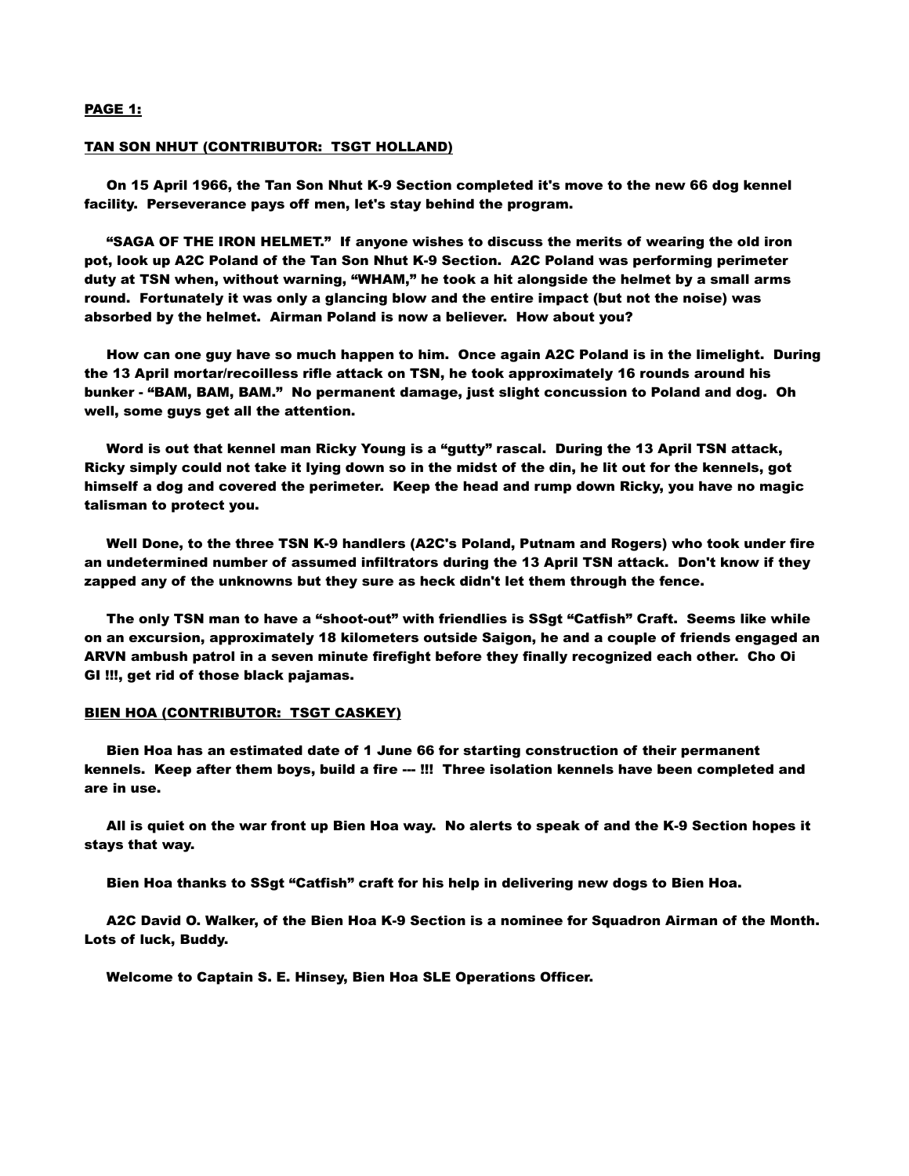## PAGE 1:

#### TAN SON NHUT (CONTRIBUTOR: TSGT HOLLAND)

 On 15 April 1966, the Tan Son Nhut K-9 Section completed it's move to the new 66 dog kennel facility. Perseverance pays off men, let's stay behind the program.

 "SAGA OF THE IRON HELMET." If anyone wishes to discuss the merits of wearing the old iron pot, look up A2C Poland of the Tan Son Nhut K-9 Section. A2C Poland was performing perimeter duty at TSN when, without warning, "WHAM," he took a hit alongside the helmet by a small arms round. Fortunately it was only a glancing blow and the entire impact (but not the noise) was absorbed by the helmet. Airman Poland is now a believer. How about you?

 How can one guy have so much happen to him. Once again A2C Poland is in the limelight. During the 13 April mortar/recoilless rifle attack on TSN, he took approximately 16 rounds around his bunker - "BAM, BAM, BAM." No permanent damage, just slight concussion to Poland and dog. Oh well, some guys get all the attention.

 Word is out that kennel man Ricky Young is a "gutty" rascal. During the 13 April TSN attack, Ricky simply could not take it lying down so in the midst of the din, he lit out for the kennels, got himself a dog and covered the perimeter. Keep the head and rump down Ricky, you have no magic talisman to protect you.

 Well Done, to the three TSN K-9 handlers (A2C's Poland, Putnam and Rogers) who took under fire an undetermined number of assumed infiltrators during the 13 April TSN attack. Don't know if they zapped any of the unknowns but they sure as heck didn't let them through the fence.

 The only TSN man to have a "shoot-out" with friendlies is SSgt "Catfish" Craft. Seems like while on an excursion, approximately 18 kilometers outside Saigon, he and a couple of friends engaged an ARVN ambush patrol in a seven minute firefight before they finally recognized each other. Cho Oi GI !!!, get rid of those black pajamas.

### BIEN HOA (CONTRIBUTOR: TSGT CASKEY)

 Bien Hoa has an estimated date of 1 June 66 for starting construction of their permanent kennels. Keep after them boys, build a fire --- !!! Three isolation kennels have been completed and are in use.

 All is quiet on the war front up Bien Hoa way. No alerts to speak of and the K-9 Section hopes it stays that way.

Bien Hoa thanks to SSgt "Catfish" craft for his help in delivering new dogs to Bien Hoa.

 A2C David O. Walker, of the Bien Hoa K-9 Section is a nominee for Squadron Airman of the Month. Lots of luck, Buddy.

Welcome to Captain S. E. Hinsey, Bien Hoa SLE Operations Officer.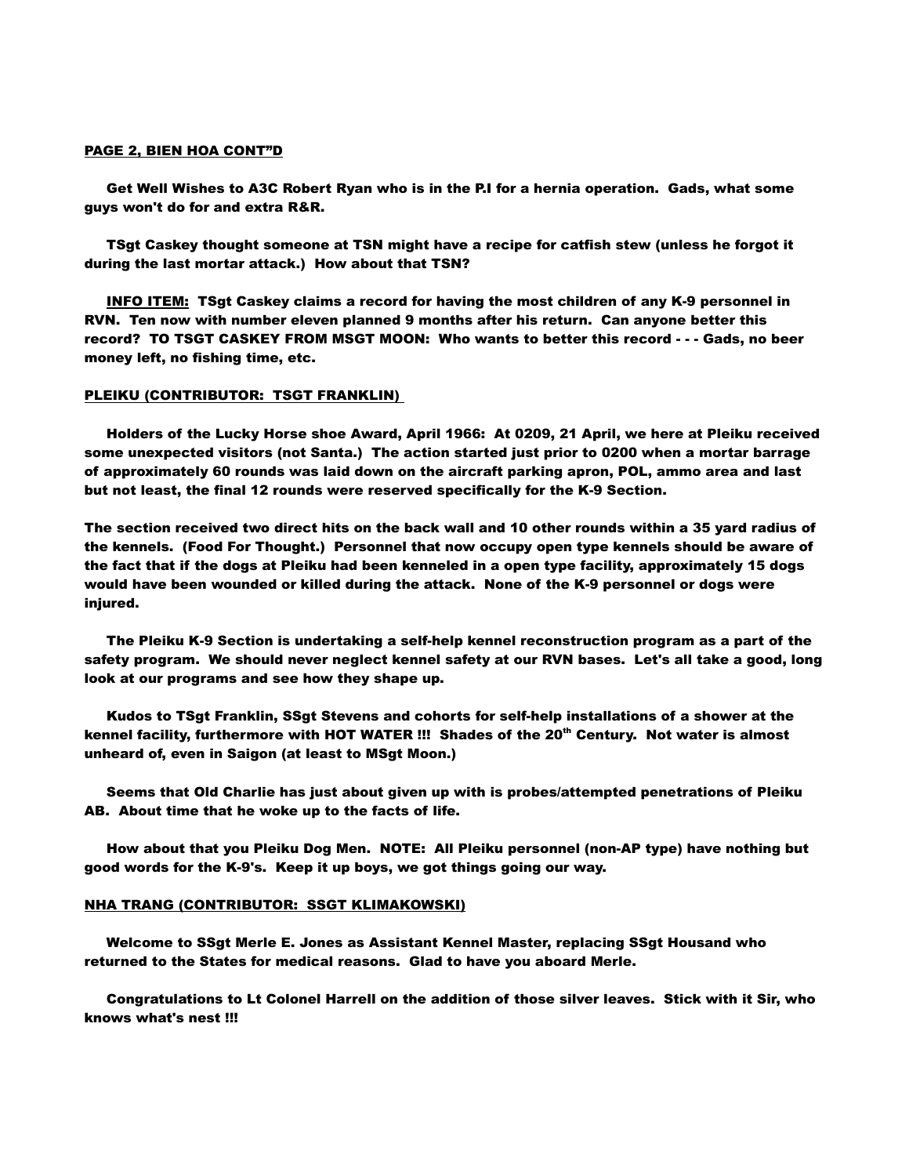## PAGE 2, BIEN HOA CONT"D

 Get Well Wishes to A3C Robert Ryan who is in the P.I for a hernia operation. Gads, what some guys won't do for and extra R&R.

 TSgt Caskey thought someone at TSN might have a recipe for catfish stew (unless he forgot it during the last mortar attack.) How about that TSN?

 INFO ITEM: TSgt Caskey claims a record for having the most children of any K-9 personnel in RVN. Ten now with number eleven planned 9 months after his return. Can anyone better this record? TO TSGT CASKEY FROM MSGT MOON: Who wants to better this record - - - Gads, no beer money left, no fishing time, etc.

## PLEIKU (CONTRIBUTOR: TSGT FRANKLIN)

 Holders of the Lucky Horse shoe Award, April 1966: At 0209, 21 April, we here at Pleiku received some unexpected visitors (not Santa.) The action started just prior to 0200 when a mortar barrage of approximately 60 rounds was laid down on the aircraft parking apron, POL, ammo area and last but not least, the final 12 rounds were reserved specifically for the K-9 Section.

The section received two direct hits on the back wall and 10 other rounds within a 35 yard radius of the kennels. (Food For Thought.) Personnel that now occupy open type kennels should be aware of the fact that if the dogs at Pleiku had been kenneled in a open type facility, approximately 15 dogs would have been wounded or killed during the attack. None of the K-9 personnel or dogs were injured.

 The Pleiku K-9 Section is undertaking a self-help kennel reconstruction program as a part of the safety program. We should never neglect kennel safety at our RVN bases. Let's all take a good, long look at our programs and see how they shape up.

 Kudos to TSgt Franklin, SSgt Stevens and cohorts for self-help installations of a shower at the kennel facility, furthermore with HOT WATER !!! Shades of the 20<sup>th</sup> Century. Not water is almost unheard of, even in Saigon (at least to MSgt Moon.)

 Seems that Old Charlie has just about given up with is probes/attempted penetrations of Pleiku AB. About time that he woke up to the facts of life.

 How about that you Pleiku Dog Men. NOTE: All Pleiku personnel (non-AP type) have nothing but good words for the K-9's. Keep it up boys, we got things going our way.

### NHA TRANG (CONTRIBUTOR: SSGT KLIMAKOWSKI)

 Welcome to SSgt Merle E. Jones as Assistant Kennel Master, replacing SSgt Housand who returned to the States for medical reasons. Glad to have you aboard Merle.

 Congratulations to Lt Colonel Harrell on the addition of those silver leaves. Stick with it Sir, who knows what's nest !!!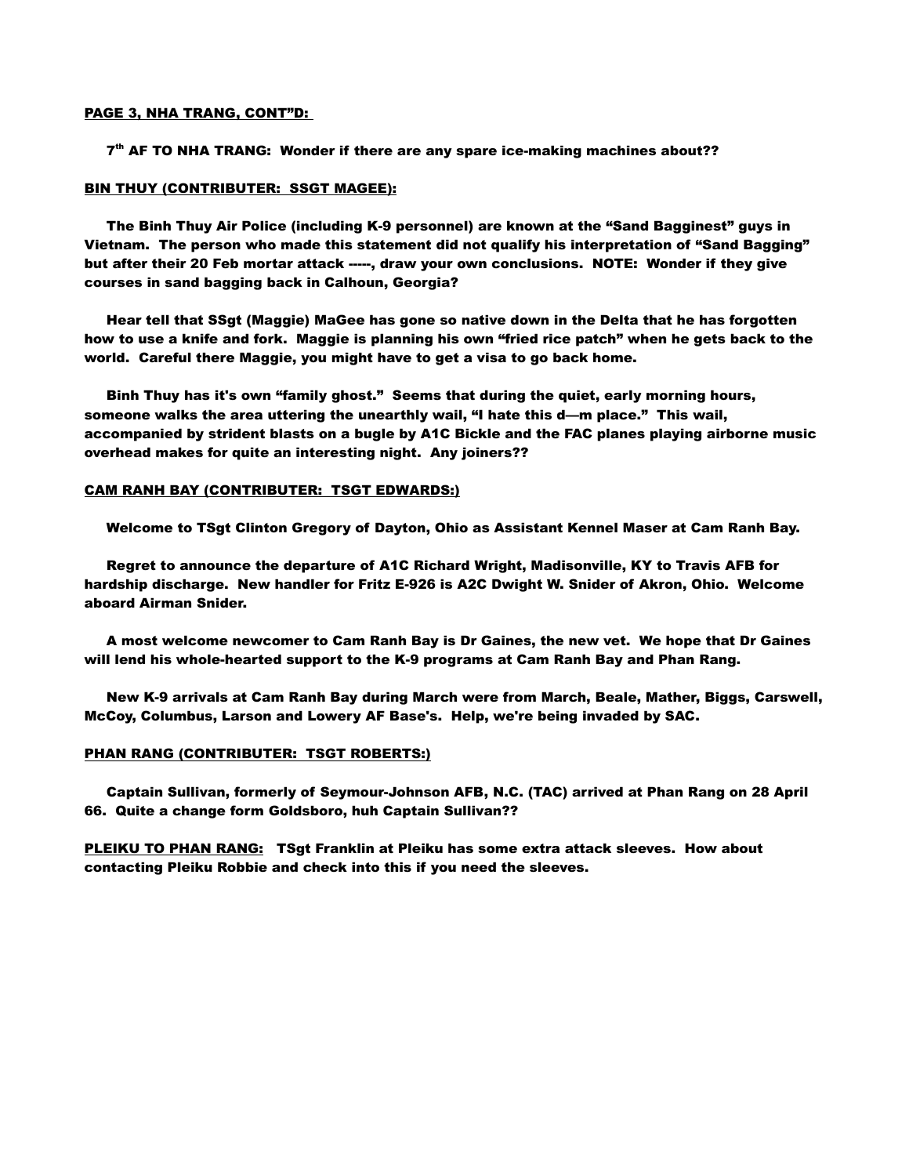### PAGE 3, NHA TRANG, CONT"D:

7<sup>th</sup> AF TO NHA TRANG: Wonder if there are any spare ice-making machines about??

## BIN THUY (CONTRIBUTER: SSGT MAGEE):

 The Binh Thuy Air Police (including K-9 personnel) are known at the "Sand Bagginest" guys in Vietnam. The person who made this statement did not qualify his interpretation of "Sand Bagging" but after their 20 Feb mortar attack -----, draw your own conclusions. NOTE: Wonder if they give courses in sand bagging back in Calhoun, Georgia?

 Hear tell that SSgt (Maggie) MaGee has gone so native down in the Delta that he has forgotten how to use a knife and fork. Maggie is planning his own "fried rice patch" when he gets back to the world. Careful there Maggie, you might have to get a visa to go back home.

 Binh Thuy has it's own "family ghost." Seems that during the quiet, early morning hours, someone walks the area uttering the unearthly wail, "I hate this d—m place." This wail, accompanied by strident blasts on a bugle by A1C Bickle and the FAC planes playing airborne music overhead makes for quite an interesting night. Any joiners??

### CAM RANH BAY (CONTRIBUTER: TSGT EDWARDS:)

Welcome to TSgt Clinton Gregory of Dayton, Ohio as Assistant Kennel Maser at Cam Ranh Bay.

 Regret to announce the departure of A1C Richard Wright, Madisonville, KY to Travis AFB for hardship discharge. New handler for Fritz E-926 is A2C Dwight W. Snider of Akron, Ohio. Welcome aboard Airman Snider.

 A most welcome newcomer to Cam Ranh Bay is Dr Gaines, the new vet. We hope that Dr Gaines will lend his whole-hearted support to the K-9 programs at Cam Ranh Bay and Phan Rang.

 New K-9 arrivals at Cam Ranh Bay during March were from March, Beale, Mather, Biggs, Carswell, McCoy, Columbus, Larson and Lowery AF Base's. Help, we're being invaded by SAC.

#### PHAN RANG (CONTRIBUTER: TSGT ROBERTS:)

 Captain Sullivan, formerly of Seymour-Johnson AFB, N.C. (TAC) arrived at Phan Rang on 28 April 66. Quite a change form Goldsboro, huh Captain Sullivan??

PLEIKU TO PHAN RANG: TSgt Franklin at Pleiku has some extra attack sleeves. How about contacting Pleiku Robbie and check into this if you need the sleeves.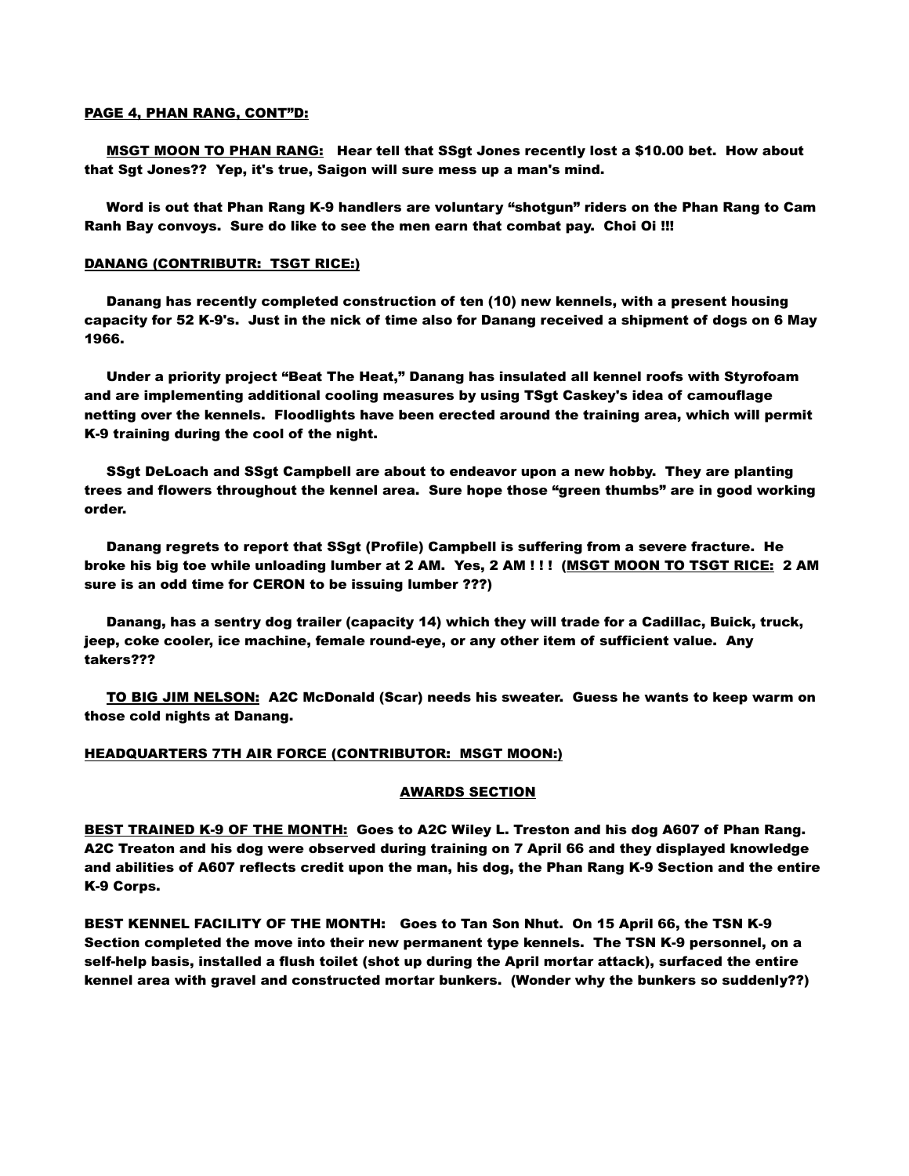### PAGE 4, PHAN RANG, CONT"D:

 MSGT MOON TO PHAN RANG: Hear tell that SSgt Jones recently lost a \$10.00 bet. How about that Sgt Jones?? Yep, it's true, Saigon will sure mess up a man's mind.

 Word is out that Phan Rang K-9 handlers are voluntary "shotgun" riders on the Phan Rang to Cam Ranh Bay convoys. Sure do like to see the men earn that combat pay. Choi Oi !!!

## DANANG (CONTRIBUTR: TSGT RICE:)

 Danang has recently completed construction of ten (10) new kennels, with a present housing capacity for 52 K-9's. Just in the nick of time also for Danang received a shipment of dogs on 6 May 1966.

 Under a priority project "Beat The Heat," Danang has insulated all kennel roofs with Styrofoam and are implementing additional cooling measures by using TSgt Caskey's idea of camouflage netting over the kennels. Floodlights have been erected around the training area, which will permit K-9 training during the cool of the night.

 SSgt DeLoach and SSgt Campbell are about to endeavor upon a new hobby. They are planting trees and flowers throughout the kennel area. Sure hope those "green thumbs" are in good working order.

 Danang regrets to report that SSgt (Profile) Campbell is suffering from a severe fracture. He broke his big toe while unloading lumber at 2 AM. Yes, 2 AM ! ! ! (MSGT MOON TO TSGT RICE: 2 AM sure is an odd time for CERON to be issuing lumber ???)

 Danang, has a sentry dog trailer (capacity 14) which they will trade for a Cadillac, Buick, truck, jeep, coke cooler, ice machine, female round-eye, or any other item of sufficient value. Any takers???

 TO BIG JIM NELSON: A2C McDonald (Scar) needs his sweater. Guess he wants to keep warm on those cold nights at Danang.

## HEADQUARTERS 7TH AIR FORCE (CONTRIBUTOR: MSGT MOON:)

#### AWARDS SECTION

BEST TRAINED K-9 OF THE MONTH: Goes to A2C Wiley L. Treston and his dog A607 of Phan Rang. A2C Treaton and his dog were observed during training on 7 April 66 and they displayed knowledge and abilities of A607 reflects credit upon the man, his dog, the Phan Rang K-9 Section and the entire K-9 Corps.

BEST KENNEL FACILITY OF THE MONTH: Goes to Tan Son Nhut. On 15 April 66, the TSN K-9 Section completed the move into their new permanent type kennels. The TSN K-9 personnel, on a self-help basis, installed a flush toilet (shot up during the April mortar attack), surfaced the entire kennel area with gravel and constructed mortar bunkers. (Wonder why the bunkers so suddenly??)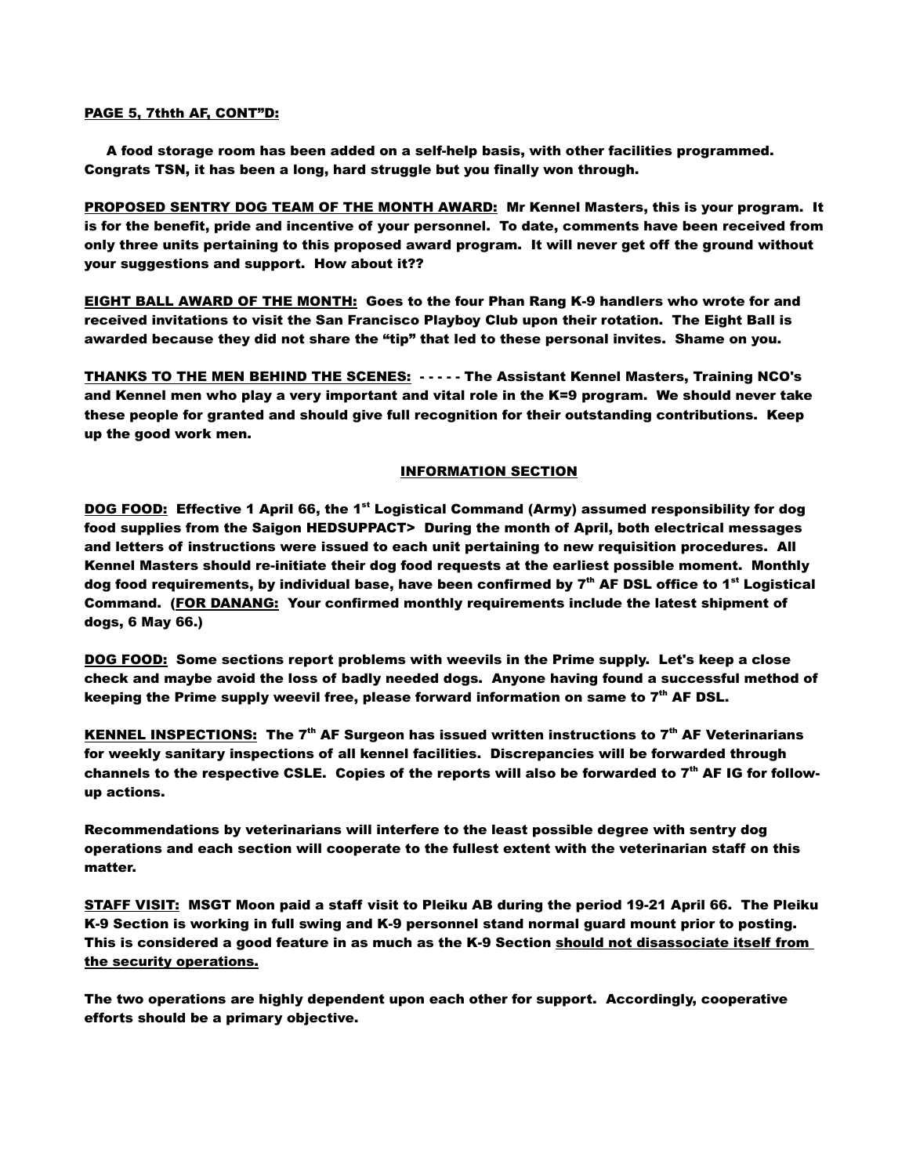## PAGE 5, 7thth AF, CONT"D:

 A food storage room has been added on a self-help basis, with other facilities programmed. Congrats TSN, it has been a long, hard struggle but you finally won through.

PROPOSED SENTRY DOG TEAM OF THE MONTH AWARD: Mr Kennel Masters, this is your program. It is for the benefit, pride and incentive of your personnel. To date, comments have been received from only three units pertaining to this proposed award program. It will never get off the ground without your suggestions and support. How about it??

EIGHT BALL AWARD OF THE MONTH: Goes to the four Phan Rang K-9 handlers who wrote for and received invitations to visit the San Francisco Playboy Club upon their rotation. The Eight Ball is awarded because they did not share the "tip" that led to these personal invites. Shame on you.

THANKS TO THE MEN BEHIND THE SCENES: - - - - - The Assistant Kennel Masters, Training NCO's and Kennel men who play a very important and vital role in the K=9 program. We should never take these people for granted and should give full recognition for their outstanding contributions. Keep up the good work men.

## INFORMATION SECTION

DOG FOOD: Effective 1 April 66, the 1<sup>st</sup> Logistical Command (Army) assumed responsibility for dog food supplies from the Saigon HEDSUPPACT> During the month of April, both electrical messages and letters of instructions were issued to each unit pertaining to new requisition procedures. All Kennel Masters should re-initiate their dog food requests at the earliest possible moment. Monthly dog food requirements, by individual base, have been confirmed by  $7<sup>th</sup>$  AF DSL office to 1<sup>st</sup> Logistical Command. (FOR DANANG: Your confirmed monthly requirements include the latest shipment of dogs, 6 May 66.)

DOG FOOD: Some sections report problems with weevils in the Prime supply. Let's keep a close check and maybe avoid the loss of badly needed dogs. Anyone having found a successful method of keeping the Prime supply weevil free, please forward information on same to  $7<sup>th</sup>$  AF DSL.

KENNEL INSPECTIONS: The  $7<sup>th</sup>$  AF Surgeon has issued written instructions to  $7<sup>th</sup>$  AF Veterinarians for weekly sanitary inspections of all kennel facilities. Discrepancies will be forwarded through channels to the respective CSLE. Copies of the reports will also be forwarded to  $7<sup>th</sup>$  AF IG for followup actions.

Recommendations by veterinarians will interfere to the least possible degree with sentry dog operations and each section will cooperate to the fullest extent with the veterinarian staff on this matter.

STAFF VISIT: MSGT Moon paid a staff visit to Pleiku AB during the period 19-21 April 66. The Pleiku K-9 Section is working in full swing and K-9 personnel stand normal guard mount prior to posting. This is considered a good feature in as much as the K-9 Section should not disassociate itself from the security operations.

The two operations are highly dependent upon each other for support. Accordingly, cooperative efforts should be a primary objective.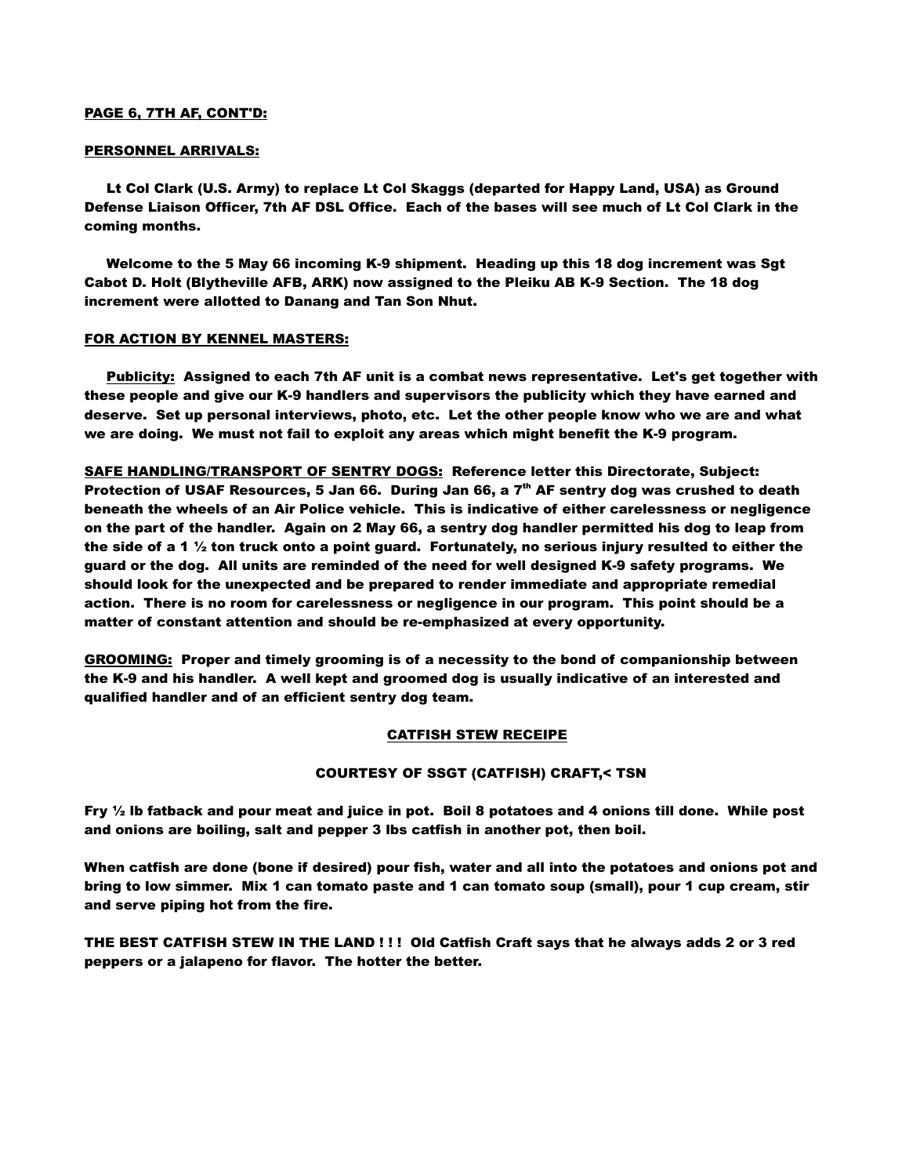## PAGE 6, 7TH AF, CONT'D:

## PERSONNEL ARRIVALS:

 Lt Col Clark (U.S. Army) to replace Lt Col Skaggs (departed for Happy Land, USA) as Ground Defense Liaison Officer, 7th AF DSL Office. Each of the bases will see much of Lt Col Clark in the coming months.

 Welcome to the 5 May 66 incoming K-9 shipment. Heading up this 18 dog increment was Sgt Cabot D. Holt (Blytheville AFB, ARK) now assigned to the Pleiku AB K-9 Section. The 18 dog increment were allotted to Danang and Tan Son Nhut.

## FOR ACTION BY KENNEL MASTERS:

 Publicity: Assigned to each 7th AF unit is a combat news representative. Let's get together with these people and give our K-9 handlers and supervisors the publicity which they have earned and deserve. Set up personal interviews, photo, etc. Let the other people know who we are and what we are doing. We must not fail to exploit any areas which might benefit the K-9 program.

SAFE HANDLING/TRANSPORT OF SENTRY DOGS: Reference letter this Directorate, Subject: Protection of USAF Resources, 5 Jan 66. During Jan 66, a  $7<sup>th</sup>$  AF sentry dog was crushed to death beneath the wheels of an Air Police vehicle. This is indicative of either carelessness or negligence on the part of the handler. Again on 2 May 66, a sentry dog handler permitted his dog to leap from the side of a 1  $\frac{1}{2}$  ton truck onto a point guard. Fortunately, no serious injury resulted to either the guard or the dog. All units are reminded of the need for well designed K-9 safety programs. We should look for the unexpected and be prepared to render immediate and appropriate remedial action. There is no room for carelessness or negligence in our program. This point should be a matter of constant attention and should be re-emphasized at every opportunity.

**GROOMING:** Proper and timely grooming is of a necessity to the bond of companionship between the K-9 and his handler. A well kept and groomed dog is usually indicative of an interested and qualified handler and of an efficient sentry dog team.

## CATFISH STEW RECEIPE

### COURTESY OF SSGT (CATFISH) CRAFT,< TSN

Fry  $\frac{1}{2}$  lb fatback and pour meat and juice in pot. Boil 8 potatoes and 4 onions till done. While post and onions are boiling, salt and pepper 3 lbs catfish in another pot, then boil.

When catfish are done (bone if desired) pour fish, water and all into the potatoes and onions pot and bring to low simmer. Mix 1 can tomato paste and 1 can tomato soup (small), pour 1 cup cream, stir and serve piping hot from the fire.

THE BEST CATFISH STEW IN THE LAND ! ! ! Old Catfish Craft says that he always adds 2 or 3 red peppers or a jalapeno for flavor. The hotter the better.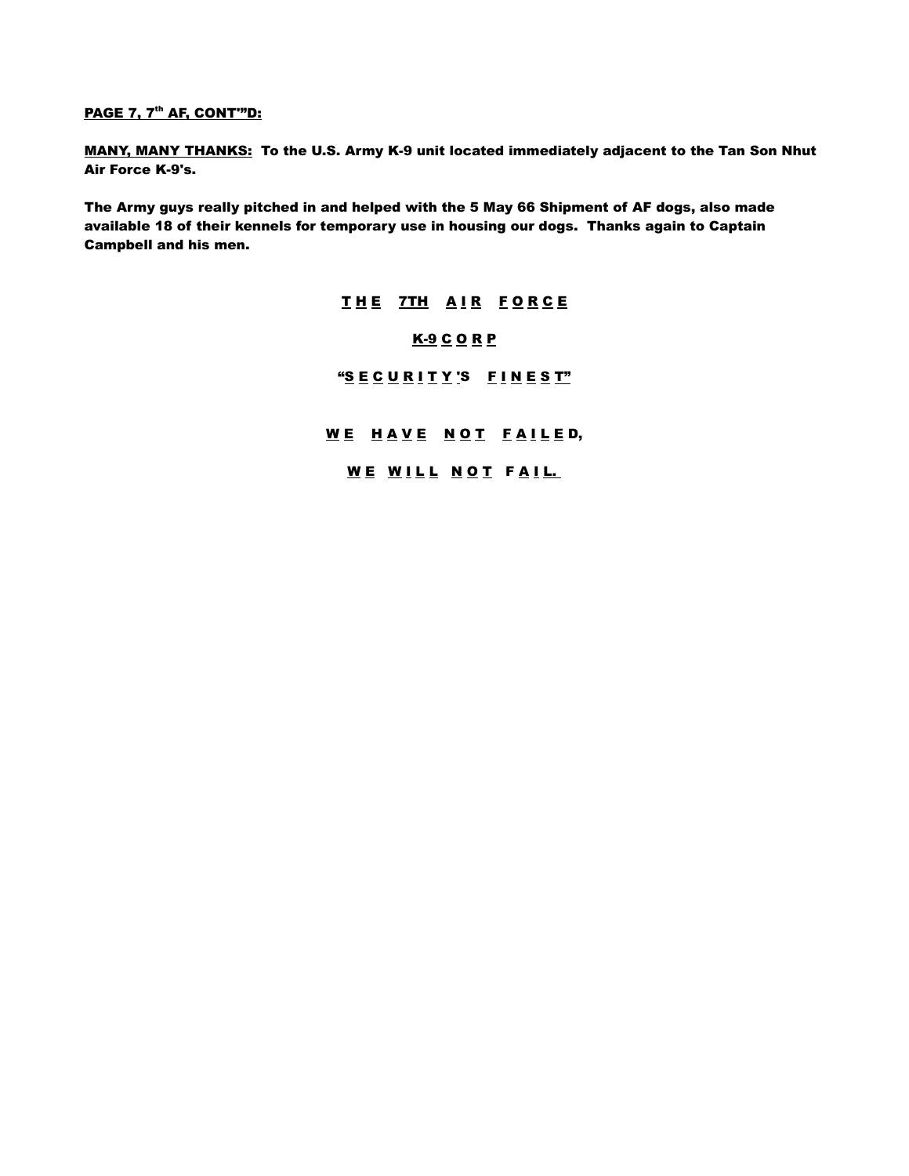# <u>PAGE 7, 7<sup>th</sup> AF, CONT'"D:</u>

MANY, MANY THANKS: To the U.S. Army K-9 unit located immediately adjacent to the Tan Son Nhut Air Force K-9's.

The Army guys really pitched in and helped with the 5 May 66 Shipment of AF dogs, also made available 18 of their kennels for temporary use in housing our dogs. Thanks again to Captain Campbell and his men.

> THE 7TH AIR FORCE K-9 C O R P "SECURITY'S FINEST" WE HAVE NOT FAILED, WE WILL NOT FAIL.